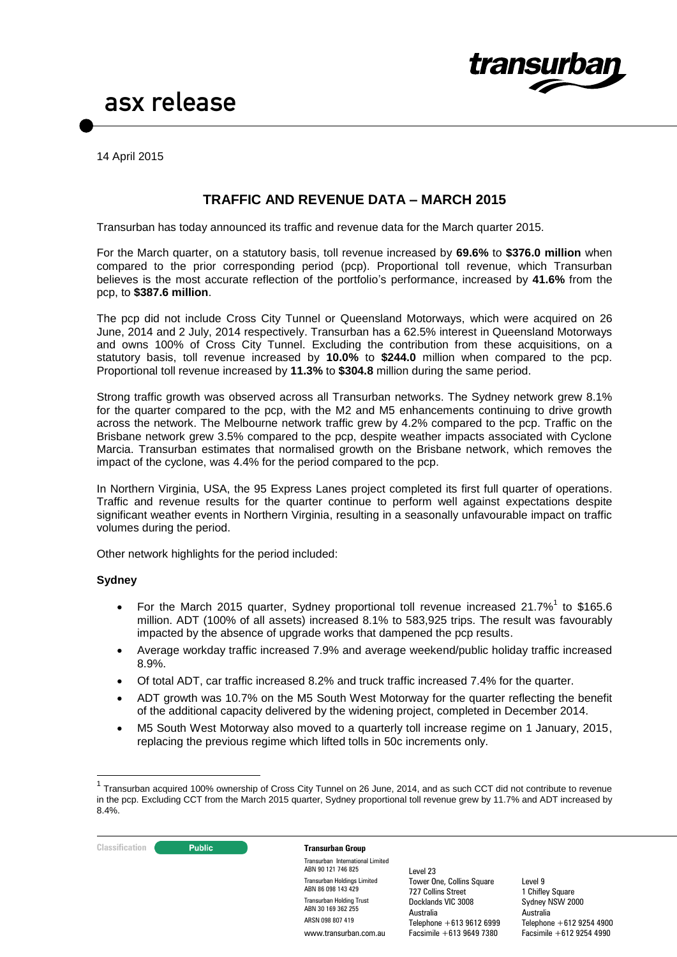

14 April 2015

## **TRAFFIC AND REVENUE DATA – MARCH 2015**

Transurban has today announced its traffic and revenue data for the March quarter 2015.

For the March quarter, on a statutory basis, toll revenue increased by **69.6%** to **\$376.0 million** when compared to the prior corresponding period (pcp). Proportional toll revenue, which Transurban believes is the most accurate reflection of the portfolio's performance, increased by **41.6%** from the pcp, to **\$387.6 million**.

The pcp did not include Cross City Tunnel or Queensland Motorways, which were acquired on 26 June, 2014 and 2 July, 2014 respectively. Transurban has a 62.5% interest in Queensland Motorways and owns 100% of Cross City Tunnel. Excluding the contribution from these acquisitions, on a statutory basis, toll revenue increased by **10.0%** to **\$244.0** million when compared to the pcp. Proportional toll revenue increased by **11.3%** to **\$304.8** million during the same period.

Strong traffic growth was observed across all Transurban networks. The Sydney network grew 8.1% for the quarter compared to the pcp, with the M2 and M5 enhancements continuing to drive growth across the network. The Melbourne network traffic grew by 4.2% compared to the pcp. Traffic on the Brisbane network grew 3.5% compared to the pcp, despite weather impacts associated with Cyclone Marcia. Transurban estimates that normalised growth on the Brisbane network, which removes the impact of the cyclone, was 4.4% for the period compared to the pcp.

In Northern Virginia, USA, the 95 Express Lanes project completed its first full quarter of operations. Traffic and revenue results for the quarter continue to perform well against expectations despite significant weather events in Northern Virginia, resulting in a seasonally unfavourable impact on traffic volumes during the period.

Other network highlights for the period included:

### **Sydney**

- For the March 2015 quarter, Sydney proportional toll revenue increased 21.7%<sup>1</sup> to \$165.6 million. ADT (100% of all assets) increased 8.1% to 583,925 trips. The result was favourably impacted by the absence of upgrade works that dampened the pcp results.
- Average workday traffic increased 7.9% and average weekend/public holiday traffic increased 8.9%.
- Of total ADT, car traffic increased 8.2% and truck traffic increased 7.4% for the quarter.
- ADT growth was 10.7% on the M5 South West Motorway for the quarter reflecting the benefit of the additional capacity delivered by the widening project, completed in December 2014.
- M5 South West Motorway also moved to a quarterly toll increase regime on 1 January, 2015, replacing the previous regime which lifted tolls in 50c increments only.

<sup>&</sup>lt;sup>1</sup> Transurban acquired 100% ownership of Cross City Tunnel on 26 June, 2014, and as such CCT did not contribute to revenue in the pcp. Excluding CCT from the March 2015 quarter, Sydney proportional toll revenue grew by 11.7% and ADT increased by 8.4%.



<u>.</u>

Transurban International Limited ABN 90 121 746 825 Transurban Holdings Limited ABN 86 098 143 429 Transurban Holding Trust ABN 30 169 362 255 ARSN 098 807 419 www.transurban.com.au

Level 23 Tower One, Collins Square 727 Collins Street Docklands VIC 3008 Australia Telephone +613 9612 6999 Facsimile +613 9649 7380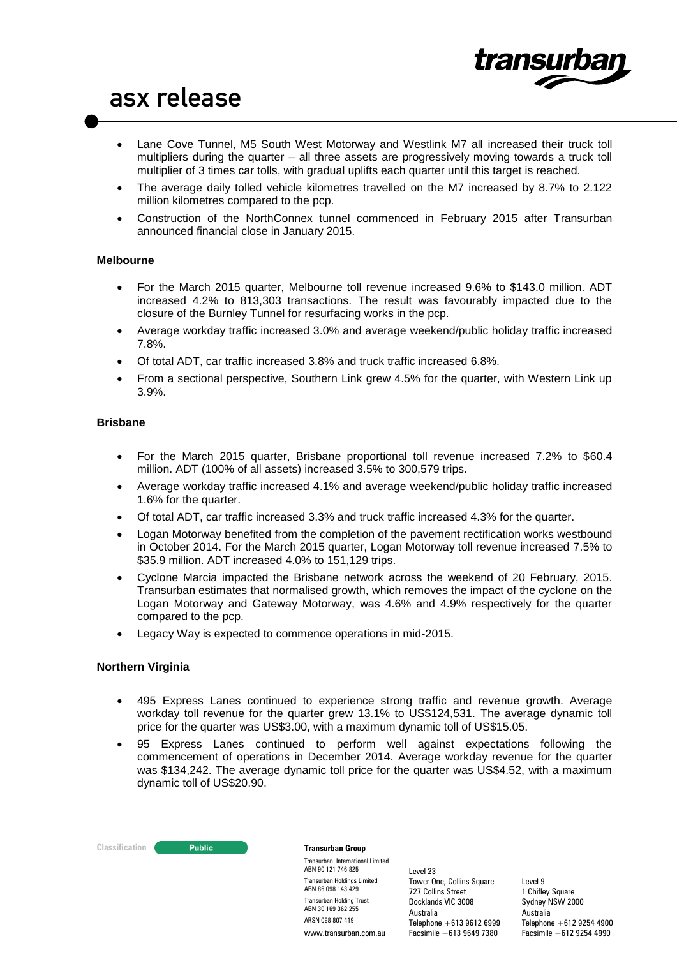

- Lane Cove Tunnel, M5 South West Motorway and Westlink M7 all increased their truck toll multipliers during the quarter – all three assets are progressively moving towards a truck toll multiplier of 3 times car tolls, with gradual uplifts each quarter until this target is reached.
- The average daily tolled vehicle kilometres travelled on the M7 increased by 8.7% to 2.122 million kilometres compared to the pcp.
- Construction of the NorthConnex tunnel commenced in February 2015 after Transurban announced financial close in January 2015.

### **Melbourne**

- For the March 2015 quarter, Melbourne toll revenue increased 9.6% to \$143.0 million. ADT increased 4.2% to 813,303 transactions. The result was favourably impacted due to the closure of the Burnley Tunnel for resurfacing works in the pcp.
- Average workday traffic increased 3.0% and average weekend/public holiday traffic increased 7.8%.
- Of total ADT, car traffic increased 3.8% and truck traffic increased 6.8%.
- From a sectional perspective, Southern Link grew 4.5% for the quarter, with Western Link up 3.9%.

### **Brisbane**

- For the March 2015 quarter, Brisbane proportional toll revenue increased 7.2% to \$60.4 million. ADT (100% of all assets) increased 3.5% to 300,579 trips.
- Average workday traffic increased 4.1% and average weekend/public holiday traffic increased 1.6% for the quarter.
- Of total ADT, car traffic increased 3.3% and truck traffic increased 4.3% for the quarter.
- Logan Motorway benefited from the completion of the pavement rectification works westbound in October 2014. For the March 2015 quarter, Logan Motorway toll revenue increased 7.5% to \$35.9 million. ADT increased 4.0% to 151,129 trips.
- Cyclone Marcia impacted the Brisbane network across the weekend of 20 February, 2015. Transurban estimates that normalised growth, which removes the impact of the cyclone on the Logan Motorway and Gateway Motorway, was 4.6% and 4.9% respectively for the quarter compared to the pcp.
- Legacy Way is expected to commence operations in mid-2015.

### **Northern Virginia**

- 495 Express Lanes continued to experience strong traffic and revenue growth. Average workday toll revenue for the quarter grew 13.1% to US\$124,531. The average dynamic toll price for the quarter was US\$3.00, with a maximum dynamic toll of US\$15.05.
- 95 Express Lanes continued to perform well against expectations following the commencement of operations in December 2014. Average workday revenue for the quarter was \$134,242. The average dynamic toll price for the quarter was US\$4.52, with a maximum dynamic toll of US\$20.90.

#### **Classification Transurban Group**

Transurban International Limited ABN 90 121 746 825 Transurban Holdings Limited ABN 86 098 143 429 Transurban Holding Trust ABN 30 169 362 255 ARSN 098 807 419 www.transurban.com.au

Level 23 Tower One, Collins Square 727 Collins Street Docklands VIC 3008 Australia Telephone +613 9612 6999 Facsimile +613 9649 7380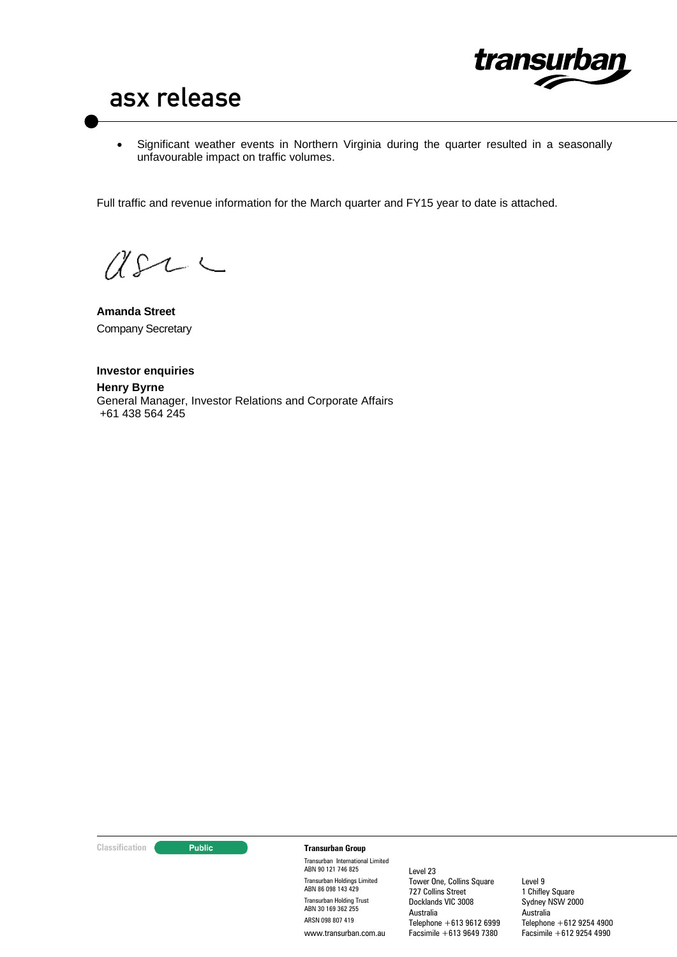

 Significant weather events in Northern Virginia during the quarter resulted in a seasonally unfavourable impact on traffic volumes.

Full traffic and revenue information for the March quarter and FY15 year to date is attached.

 $C222$ 

**Amanda Street** Company Secretary

**Investor enquiries Henry Byrne** General Manager, Investor Relations and Corporate Affairs +61 438 564 245

#### **Classification Transurban Group**

Transurban International Limited ABN 90 121 746 825 Transurban Holdings Limited ABN 86 098 143 429 Transurban Holding Trust ABN 30 169 362 255 ARSN 098 807 419 www.transurban.com.au

Level 23 Tower One, Collins Square 727 Collins Street Docklands VIC 3008 Australia Telephone +613 9612 6999 Facsimile +613 9649 7380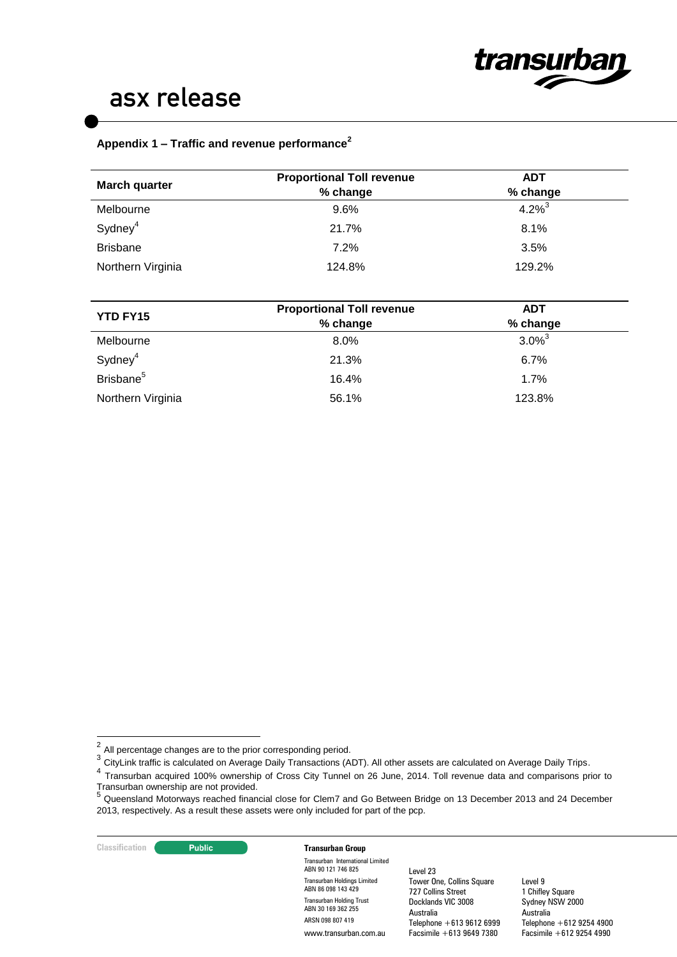

# **Appendix 1 – Traffic and revenue performance<sup>2</sup>**

| <b>Proportional Toll revenue</b> | <b>ADT</b>  |  |
|----------------------------------|-------------|--|
| % change                         | % change    |  |
| $9.6\%$                          | $4.2\%^{3}$ |  |
| 21.7%                            | 8.1%        |  |
| 7.2%                             | 3.5%        |  |
| 124.8%                           | 129.2%      |  |
|                                  |             |  |

| <b>YTD FY15</b>       | <b>Proportional Toll revenue</b> | <b>ADT</b>  |  |  |
|-----------------------|----------------------------------|-------------|--|--|
|                       | % change                         | % change    |  |  |
| Melbourne             | $8.0\%$                          | $3.0\%^{3}$ |  |  |
| Sydney <sup>4</sup>   | 21.3%                            | $6.7\%$     |  |  |
| Brisbane <sup>5</sup> | 16.4%                            | 1.7%        |  |  |
| Northern Virginia     | 56.1%                            | 123.8%      |  |  |

#### **Classification Constitution Transurban Group**

Transurban International Limited ABN 90 121 746 825 Transurban Holdings Limited ABN 86 098 143 429 Transurban Holding Trust ABN 30 169 362 255 ARSN 098 807 419 www.transurban.com.au

Level 23 Tower One, Collins Square 727 Collins Street Docklands VIC 3008 Australia Telephone +613 9612 6999 Facsimile +613 9649 7380

 $\frac{1}{2}$ All percentage changes are to the prior corresponding period.

<sup>&</sup>lt;sup>3</sup> CityLink traffic is calculated on Average Daily Transactions (ADT). All other assets are calculated on Average Daily Trips.

<sup>&</sup>lt;sup>4</sup> Transurban acquired 100% ownership of Cross City Tunnel on 26 June, 2014. Toll revenue data and comparisons prior to Transurban ownership are not provided. 5

Queensland Motorways reached financial close for Clem7 and Go Between Bridge on 13 December 2013 and 24 December 2013, respectively. As a result these assets were only included for part of the pcp.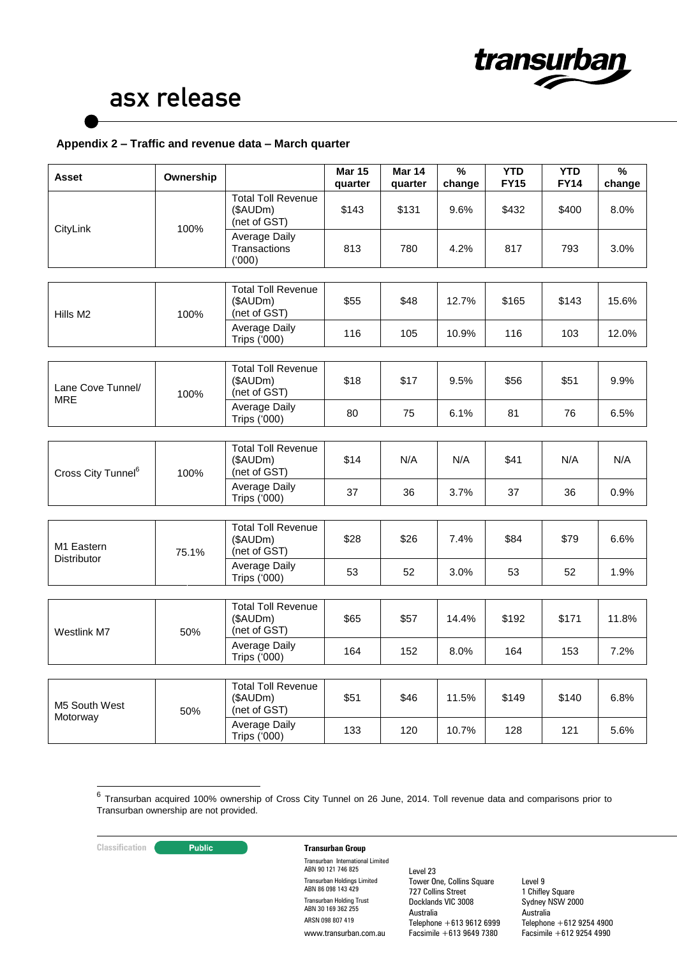

## **Appendix 2 – Traffic and revenue data – March quarter**

| Asset                            | Ownership |                                                       | <b>Mar 15</b><br>quarter | <b>Mar 14</b><br>quarter | $\frac{9}{6}$<br>change | <b>YTD</b><br><b>FY15</b> | <b>YTD</b><br><b>FY14</b> | $\%$<br>change |
|----------------------------------|-----------|-------------------------------------------------------|--------------------------|--------------------------|-------------------------|---------------------------|---------------------------|----------------|
| 100%<br>CityLink                 |           | <b>Total Toll Revenue</b><br>(\$AUDm)<br>(net of GST) | \$143                    | \$131                    | 9.6%                    | \$432                     | \$400                     | 8.0%           |
|                                  |           | Average Daily<br>Transactions<br>(000)                | 813                      | 780                      | 4.2%                    | 817                       | 793                       | 3.0%           |
|                                  |           |                                                       |                          |                          |                         |                           |                           |                |
| Hills M2                         | 100%      | <b>Total Toll Revenue</b><br>(\$AUDm)<br>(net of GST) | \$55                     | \$48                     | 12.7%                   | \$165                     | \$143                     | 15.6%          |
|                                  |           | <b>Average Daily</b><br>Trips ('000)                  | 116                      | 105                      | 10.9%                   | 116                       | 103                       | 12.0%          |
|                                  |           |                                                       |                          |                          |                         |                           |                           |                |
| Lane Cove Tunnel/                | 100%      | <b>Total Toll Revenue</b><br>(\$AUDm)<br>(net of GST) | \$18                     | \$17                     | 9.5%                    | \$56                      | \$51                      | 9.9%           |
| <b>MRE</b>                       |           | Average Daily<br>Trips ('000)                         | 80                       | 75                       | 6.1%                    | 81                        | 76                        | 6.5%           |
|                                  |           |                                                       |                          |                          |                         |                           |                           |                |
| Cross City Tunnel <sup>6</sup>   | 100%      | <b>Total Toll Revenue</b><br>(\$AUDm)<br>(net of GST) | \$14                     | N/A                      | N/A                     | \$41                      | N/A                       | N/A            |
|                                  |           | Average Daily<br><b>Trips ('000)</b>                  | 37                       | 36                       | 3.7%                    | 37                        | 36                        | 0.9%           |
|                                  |           |                                                       |                          |                          |                         |                           |                           |                |
| M1 Eastern<br><b>Distributor</b> | 75.1%     | <b>Total Toll Revenue</b><br>(\$AUDm)<br>(net of GST) | \$28                     | \$26                     | 7.4%                    | \$84                      | \$79                      | 6.6%           |
|                                  |           | Average Daily<br><b>Trips ('000)</b>                  | 53                       | 52                       | 3.0%                    | 53                        | 52                        | 1.9%           |
|                                  |           |                                                       |                          |                          |                         |                           |                           |                |
| Westlink M7                      | 50%       | <b>Total Toll Revenue</b><br>(\$AUDm)<br>(net of GST) | \$65                     | \$57                     | 14.4%                   | \$192                     | \$171                     | 11.8%          |
|                                  |           | Average Daily<br><b>Trips ('000)</b>                  | 164                      | 152                      | 8.0%                    | 164                       | 153                       | 7.2%           |
|                                  |           |                                                       |                          |                          |                         |                           |                           |                |
| M5 South West<br>Motorway        | 50%       | <b>Total Toll Revenue</b><br>(\$AUDm)<br>(net of GST) | \$51                     | \$46                     | 11.5%                   | \$149                     | \$140                     | 6.8%           |
|                                  |           | Average Daily<br>Trips ('000)                         | 133                      | 120                      | 10.7%                   | 128                       | 121                       | 5.6%           |

—<br>6 Transurban acquired 100% ownership of Cross City Tunnel on 26 June, 2014. Toll revenue data and comparisons prior to Transurban ownership are not provided.

## **Classification Transurban Group**

Transurban International Limited ABN 90 121 746 825 Transurban Holdings Limited ABN 86 098 143 429 Transurban Holding Trust ABN 30 169 362 255 ARSN 098 807 419 www.transurban.com.au

Level 23 Tower One, Collins Square 727 Collins Street Docklands VIC 3008 Australia Telephone +613 9612 6999 Facsimile +613 9649 7380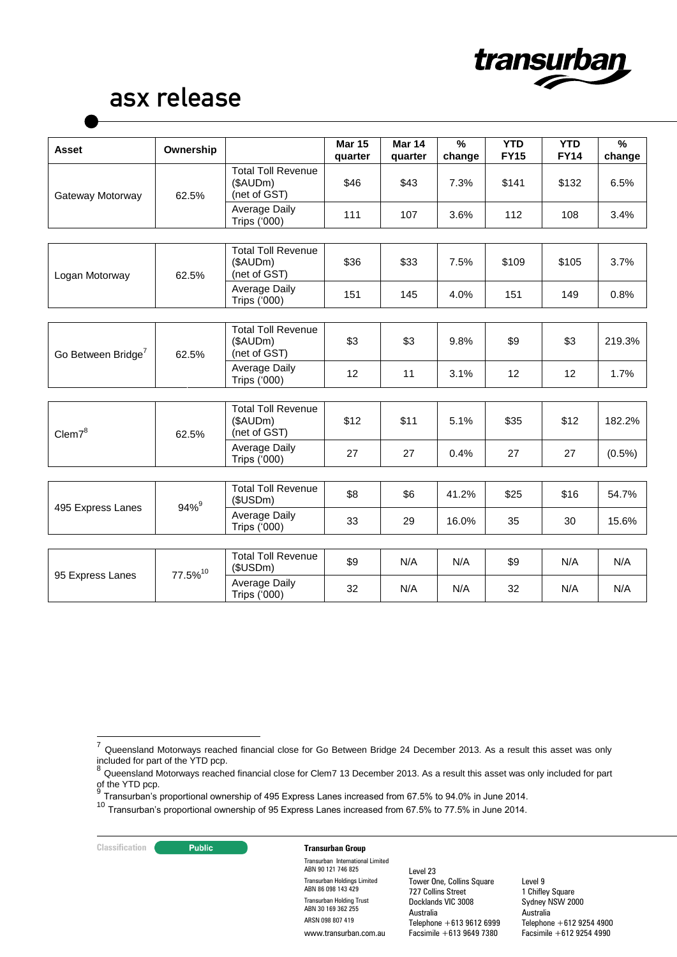

| <b>Asset</b>                   | Ownership           |                                                       | <b>Mar 15</b><br>quarter | <b>Mar 14</b><br>quarter | $\frac{9}{6}$<br>change | <b>YTD</b><br><b>FY15</b> | <b>YTD</b><br><b>FY14</b> | $\%$<br>change |
|--------------------------------|---------------------|-------------------------------------------------------|--------------------------|--------------------------|-------------------------|---------------------------|---------------------------|----------------|
| Gateway Motorway               | 62.5%               | <b>Total Toll Revenue</b><br>(\$AUDm)<br>(net of GST) | \$46                     | \$43                     | 7.3%                    | \$141                     | \$132                     | 6.5%           |
|                                |                     | Average Daily<br>Trips ('000)                         | 111                      | 107                      | 3.6%                    | 112                       | 108                       | 3.4%           |
|                                |                     |                                                       |                          |                          |                         |                           |                           |                |
| Logan Motorway                 | 62.5%               | <b>Total Toll Revenue</b><br>(\$AUDm)<br>(net of GST) | \$36                     | \$33                     | 7.5%                    | \$109                     | \$105                     | 3.7%           |
|                                |                     | Average Daily<br>Trips ('000)                         | 151                      | 145                      | 4.0%                    | 151                       | 149                       | 0.8%           |
|                                |                     |                                                       |                          |                          |                         |                           |                           |                |
| Go Between Bridge <sup>7</sup> | 62.5%               | <b>Total Toll Revenue</b><br>(\$AUDm)<br>(net of GST) | \$3                      | \$3                      | 9.8%                    | \$9                       | \$3                       | 219.3%         |
|                                |                     | Average Daily<br><b>Trips ('000)</b>                  | 12                       | 11                       | 3.1%                    | 12                        | 12                        | 1.7%           |
|                                |                     |                                                       |                          |                          |                         |                           |                           |                |
| Clem7 <sup>8</sup>             | 62.5%               | <b>Total Toll Revenue</b><br>(\$AUDm)<br>(net of GST) | \$12                     | \$11                     | 5.1%                    | \$35                      | \$12                      | 182.2%         |
|                                |                     | Average Daily<br>Trips ('000)                         | 27                       | 27                       | 0.4%                    | 27                        | 27                        | $(0.5\%)$      |
|                                |                     |                                                       |                          |                          |                         |                           |                           |                |
|                                | $94%^{9}$           | <b>Total Toll Revenue</b><br>(\$USDm)                 | \$8                      | \$6                      | 41.2%                   | \$25                      | \$16                      | 54.7%          |
| 495 Express Lanes              |                     | Average Daily<br>Trips ('000)                         | 33                       | 29                       | 16.0%                   | 35                        | 30                        | 15.6%          |
|                                |                     |                                                       |                          |                          |                         |                           |                           |                |
| 95 Express Lanes               | 77.5% <sup>10</sup> | <b>Total Toll Revenue</b><br>(\$USDm)                 | \$9                      | N/A                      | N/A                     | \$9                       | N/A                       | N/A            |
|                                |                     | Average Daily<br>Trips ('000)                         | 32                       | N/A                      | N/A                     | 32                        | N/A                       | N/A            |

**Classification Transurban Group** 

Transurban International Limited ABN 90 121 746 825 Transurban Holdings Limited ABN 86 098 143 429 Transurban Holding Trust ABN 30 169 362 255 ARSN 098 807 419 www.transurban.com.au

Level 23 Tower One, Collins Square 727 Collins Street Docklands VIC 3008 Australia Telephone +613 9612 6999 Facsimile +613 9649 7380

 $\overline{7}$  $^7$  Queensland Motorways reached financial close for Go Between Bridge 24 December 2013. As a result this asset was only

included for part of the YTD pcp.<br><sup>8</sup> Queensland Motorways reached financial close for Clem7 13 December 2013. As a result this asset was only included for part of the YTD pcp.<br> $\frac{9}{7}$ 

<sup>&</sup>lt;sup>9</sup> Transurban's proportional ownership of 495 Express Lanes increased from 67.5% to 94.0% in June 2014.<br><sup>10</sup> Transurban's proportional ownership of 95 Express Lanes increased from 67.5% to 77.5% in June 2014.